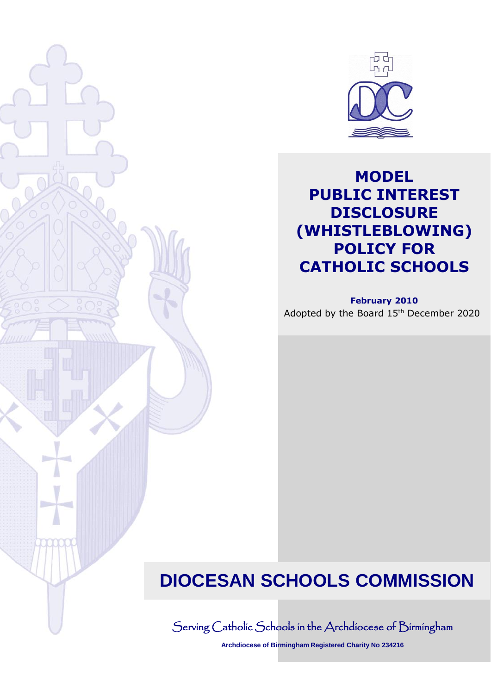

## **MODEL PUBLIC INTEREST DISCLOSURE (WHISTLEBLOWING) POLICY FOR CATHOLIC SCHOOLS**

**February 2010**

Adopted by the Board 15th December 2020

# **DIOCESAN SCHOOLS COMMISSION**

Serving Catholic Schools in the Archdiocese of Birmingham

**Archdiocese of Birmingham Registered Charity No 234216**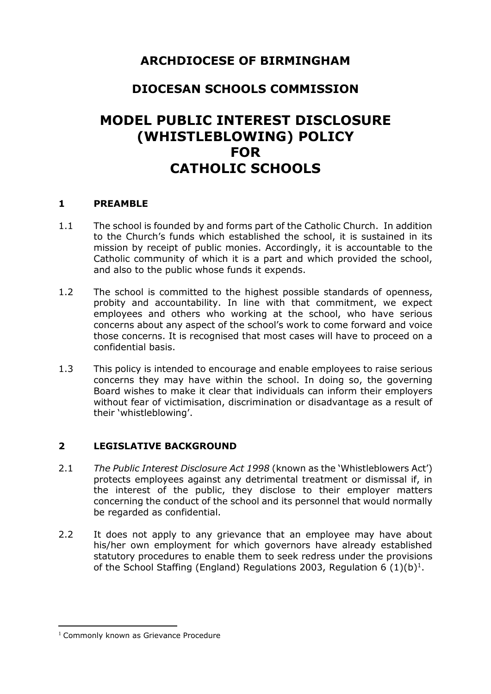## **ARCHDIOCESE OF BIRMINGHAM**

## **DIOCESAN SCHOOLS COMMISSION**

## **MODEL PUBLIC INTEREST DISCLOSURE (WHISTLEBLOWING) POLICY FOR CATHOLIC SCHOOLS**

#### **1 PREAMBLE**

- 1.1 The school is founded by and forms part of the Catholic Church. In addition to the Church's funds which established the school, it is sustained in its mission by receipt of public monies. Accordingly, it is accountable to the Catholic community of which it is a part and which provided the school, and also to the public whose funds it expends.
- 1.2 The school is committed to the highest possible standards of openness, probity and accountability. In line with that commitment, we expect employees and others who working at the school, who have serious concerns about any aspect of the school's work to come forward and voice those concerns. It is recognised that most cases will have to proceed on a confidential basis.
- 1.3 This policy is intended to encourage and enable employees to raise serious concerns they may have within the school. In doing so, the governing Board wishes to make it clear that individuals can inform their employers without fear of victimisation, discrimination or disadvantage as a result of their 'whistleblowing'.

#### **2 LEGISLATIVE BACKGROUND**

- 2.1 *The Public Interest Disclosure Act 1998* (known as the 'Whistleblowers Act') protects employees against any detrimental treatment or dismissal if, in the interest of the public, they disclose to their employer matters concerning the conduct of the school and its personnel that would normally be regarded as confidential.
- 2.2 It does not apply to any grievance that an employee may have about his/her own employment for which governors have already established statutory procedures to enable them to seek redress under the provisions of the School Staffing (England) Regulations 2003, Regulation 6  $(1)(b)^{1}$ .

 $\overline{a}$ <sup>1</sup> Commonly known as Grievance Procedure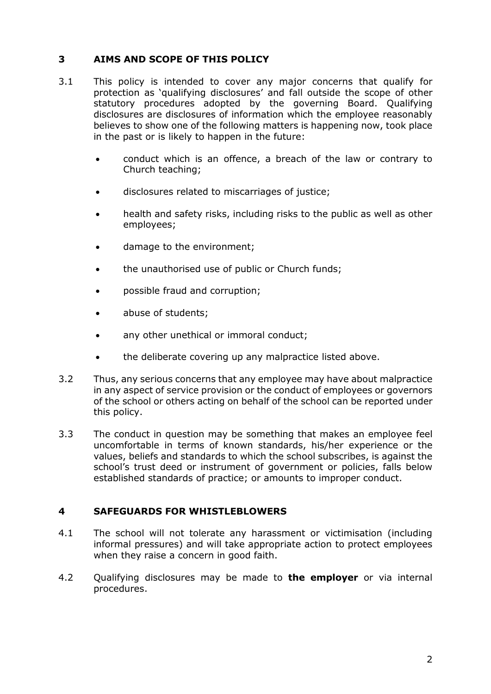#### **3 AIMS AND SCOPE OF THIS POLICY**

- 3.1 This policy is intended to cover any major concerns that qualify for protection as 'qualifying disclosures' and fall outside the scope of other statutory procedures adopted by the governing Board. Qualifying disclosures are disclosures of information which the employee reasonably believes to show one of the following matters is happening now, took place in the past or is likely to happen in the future:
	- conduct which is an offence, a breach of the law or contrary to Church teaching;
	- disclosures related to miscarriages of justice;
	- health and safety risks, including risks to the public as well as other employees;
	- damage to the environment;
	- the unauthorised use of public or Church funds;
	- possible fraud and corruption;
	- abuse of students;
	- any other unethical or immoral conduct;
	- the deliberate covering up any malpractice listed above.
- 3.2 Thus, any serious concerns that any employee may have about malpractice in any aspect of service provision or the conduct of employees or governors of the school or others acting on behalf of the school can be reported under this policy.
- 3.3 The conduct in question may be something that makes an employee feel uncomfortable in terms of known standards, his/her experience or the values, beliefs and standards to which the school subscribes, is against the school's trust deed or instrument of government or policies, falls below established standards of practice; or amounts to improper conduct.

#### **4 SAFEGUARDS FOR WHISTLEBLOWERS**

- 4.1 The school will not tolerate any harassment or victimisation (including informal pressures) and will take appropriate action to protect employees when they raise a concern in good faith.
- 4.2 Qualifying disclosures may be made to **the employer** or via internal procedures.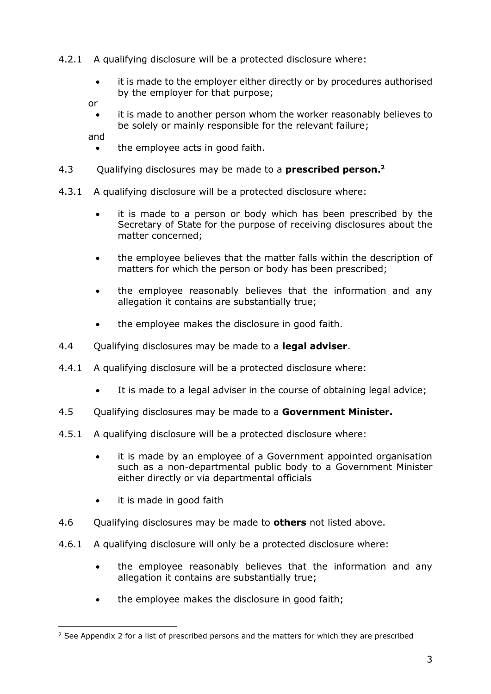- 4.2.1 A qualifying disclosure will be a protected disclosure where:
	- it is made to the employer either directly or by procedures authorised by the employer for that purpose;

or

 it is made to another person whom the worker reasonably believes to be solely or mainly responsible for the relevant failure;

and

- the employee acts in good faith.
- 4.3 Qualifying disclosures may be made to a **prescribed person. 2**
- 4.3.1 A qualifying disclosure will be a protected disclosure where:
	- it is made to a person or body which has been prescribed by the Secretary of State for the purpose of receiving disclosures about the matter concerned;
	- the employee believes that the matter falls within the description of matters for which the person or body has been prescribed;
	- the employee reasonably believes that the information and any allegation it contains are substantially true;
	- the employee makes the disclosure in good faith.
- 4.4 Qualifying disclosures may be made to a **legal adviser**.
- 4.4.1 A qualifying disclosure will be a protected disclosure where:
	- It is made to a legal adviser in the course of obtaining legal advice;
- 4.5 Qualifying disclosures may be made to a **Government Minister.**
- 4.5.1 A qualifying disclosure will be a protected disclosure where:
	- it is made by an employee of a Government appointed organisation such as a non-departmental public body to a Government Minister either directly or via departmental officials
	- it is made in good faith
- 4.6 Qualifying disclosures may be made to **others** not listed above.
- 4.6.1 A qualifying disclosure will only be a protected disclosure where:
	- the employee reasonably believes that the information and any allegation it contains are substantially true;
	- the employee makes the disclosure in good faith;

<sup>-</sup> $2$  See Appendix 2 for a list of prescribed persons and the matters for which they are prescribed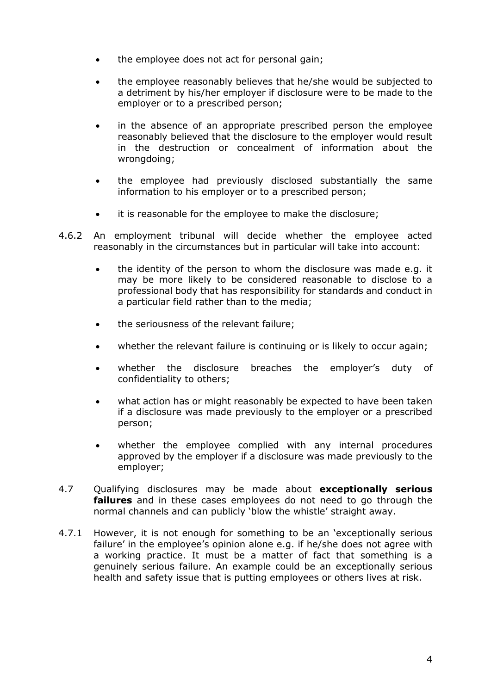- the employee does not act for personal gain;
- the employee reasonably believes that he/she would be subjected to a detriment by his/her employer if disclosure were to be made to the employer or to a prescribed person;
- in the absence of an appropriate prescribed person the employee reasonably believed that the disclosure to the employer would result in the destruction or concealment of information about the wrongdoing;
- the employee had previously disclosed substantially the same information to his employer or to a prescribed person;
- it is reasonable for the employee to make the disclosure;
- 4.6.2 An employment tribunal will decide whether the employee acted reasonably in the circumstances but in particular will take into account:
	- the identity of the person to whom the disclosure was made e.g. it may be more likely to be considered reasonable to disclose to a professional body that has responsibility for standards and conduct in a particular field rather than to the media;
	- the seriousness of the relevant failure;
	- whether the relevant failure is continuing or is likely to occur again;
	- whether the disclosure breaches the employer's duty of confidentiality to others;
	- what action has or might reasonably be expected to have been taken if a disclosure was made previously to the employer or a prescribed person;
	- whether the employee complied with any internal procedures approved by the employer if a disclosure was made previously to the employer;
- 4.7 Qualifying disclosures may be made about **exceptionally serious failures** and in these cases employees do not need to go through the normal channels and can publicly 'blow the whistle' straight away.
- 4.7.1 However, it is not enough for something to be an 'exceptionally serious failure' in the employee's opinion alone e.g. if he/she does not agree with a working practice. It must be a matter of fact that something is a genuinely serious failure. An example could be an exceptionally serious health and safety issue that is putting employees or others lives at risk.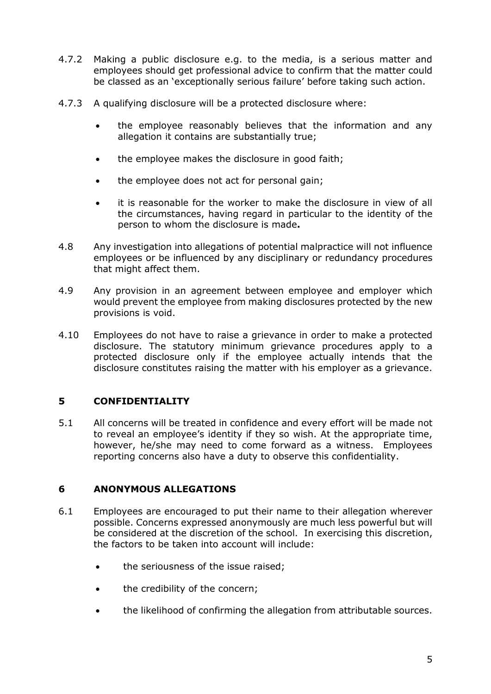- 4.7.2 Making a public disclosure e.g. to the media, is a serious matter and employees should get professional advice to confirm that the matter could be classed as an 'exceptionally serious failure' before taking such action.
- 4.7.3 A qualifying disclosure will be a protected disclosure where:
	- the employee reasonably believes that the information and any allegation it contains are substantially true;
	- the employee makes the disclosure in good faith;
	- the employee does not act for personal gain;
	- it is reasonable for the worker to make the disclosure in view of all the circumstances, having regard in particular to the identity of the person to whom the disclosure is made**.**
- 4.8 Any investigation into allegations of potential malpractice will not influence employees or be influenced by any disciplinary or redundancy procedures that might affect them.
- 4.9 Any provision in an agreement between employee and employer which would prevent the employee from making disclosures protected by the new provisions is void.
- 4.10 Employees do not have to raise a grievance in order to make a protected disclosure. The statutory minimum grievance procedures apply to a protected disclosure only if the employee actually intends that the disclosure constitutes raising the matter with his employer as a grievance.

#### **5 CONFIDENTIALITY**

5.1 All concerns will be treated in confidence and every effort will be made not to reveal an employee's identity if they so wish. At the appropriate time, however, he/she may need to come forward as a witness. Employees reporting concerns also have a duty to observe this confidentiality.

#### **6 ANONYMOUS ALLEGATIONS**

- 6.1 Employees are encouraged to put their name to their allegation wherever possible. Concerns expressed anonymously are much less powerful but will be considered at the discretion of the school. In exercising this discretion, the factors to be taken into account will include:
	- the seriousness of the issue raised;
	- the credibility of the concern;
	- the likelihood of confirming the allegation from attributable sources.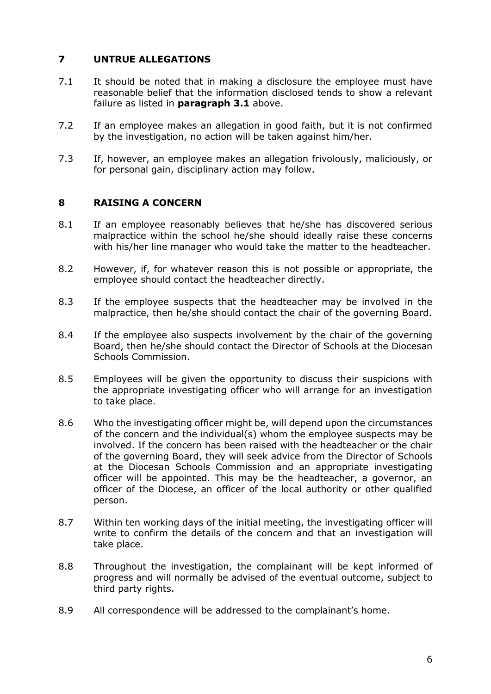#### **7 UNTRUE ALLEGATIONS**

- 7.1 It should be noted that in making a disclosure the employee must have reasonable belief that the information disclosed tends to show a relevant failure as listed in **paragraph 3.1** above.
- 7.2 If an employee makes an allegation in good faith, but it is not confirmed by the investigation, no action will be taken against him/her.
- 7.3 If, however, an employee makes an allegation frivolously, maliciously, or for personal gain, disciplinary action may follow.

#### **8 RAISING A CONCERN**

- 8.1 If an employee reasonably believes that he/she has discovered serious malpractice within the school he/she should ideally raise these concerns with his/her line manager who would take the matter to the headteacher.
- 8.2 However, if, for whatever reason this is not possible or appropriate, the employee should contact the headteacher directly.
- 8.3 If the employee suspects that the headteacher may be involved in the malpractice, then he/she should contact the chair of the governing Board.
- 8.4 If the employee also suspects involvement by the chair of the governing Board, then he/she should contact the Director of Schools at the Diocesan Schools Commission.
- 8.5 Employees will be given the opportunity to discuss their suspicions with the appropriate investigating officer who will arrange for an investigation to take place.
- 8.6 Who the investigating officer might be, will depend upon the circumstances of the concern and the individual(s) whom the employee suspects may be involved. If the concern has been raised with the headteacher or the chair of the governing Board, they will seek advice from the Director of Schools at the Diocesan Schools Commission and an appropriate investigating officer will be appointed. This may be the headteacher, a governor, an officer of the Diocese, an officer of the local authority or other qualified person.
- 8.7 Within ten working days of the initial meeting, the investigating officer will write to confirm the details of the concern and that an investigation will take place.
- 8.8 Throughout the investigation, the complainant will be kept informed of progress and will normally be advised of the eventual outcome, subject to third party rights.
- 8.9 All correspondence will be addressed to the complainant's home.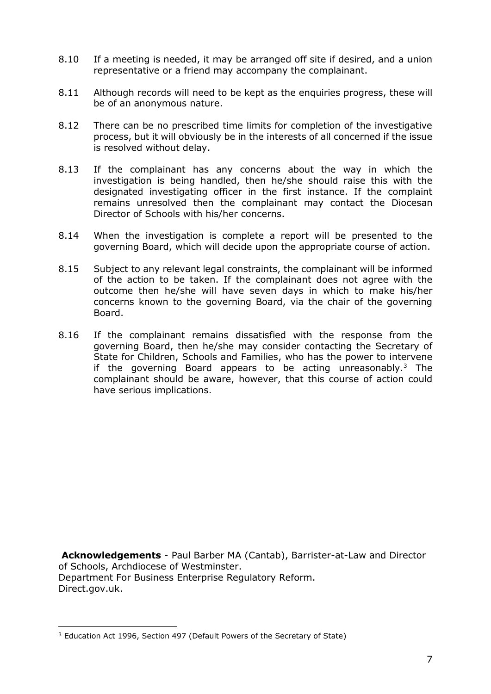- 8.10 If a meeting is needed, it may be arranged off site if desired, and a union representative or a friend may accompany the complainant.
- 8.11 Although records will need to be kept as the enquiries progress, these will be of an anonymous nature.
- 8.12 There can be no prescribed time limits for completion of the investigative process, but it will obviously be in the interests of all concerned if the issue is resolved without delay.
- 8.13 If the complainant has any concerns about the way in which the investigation is being handled, then he/she should raise this with the designated investigating officer in the first instance. If the complaint remains unresolved then the complainant may contact the Diocesan Director of Schools with his/her concerns.
- 8.14 When the investigation is complete a report will be presented to the governing Board, which will decide upon the appropriate course of action.
- 8.15 Subject to any relevant legal constraints, the complainant will be informed of the action to be taken. If the complainant does not agree with the outcome then he/she will have seven days in which to make his/her concerns known to the governing Board, via the chair of the governing Board.
- 8.16 If the complainant remains dissatisfied with the response from the governing Board, then he/she may consider contacting the Secretary of State for Children, Schools and Families, who has the power to intervene if the governing Board appears to be acting unreasonably. $3$  The complainant should be aware, however, that this course of action could have serious implications.

**Acknowledgements** - Paul Barber MA (Cantab), Barrister-at-Law and Director of Schools, Archdiocese of Westminster. Department For Business Enterprise Regulatory Reform. Direct.gov.uk.

-

<sup>&</sup>lt;sup>3</sup> Education Act 1996, Section 497 (Default Powers of the Secretary of State)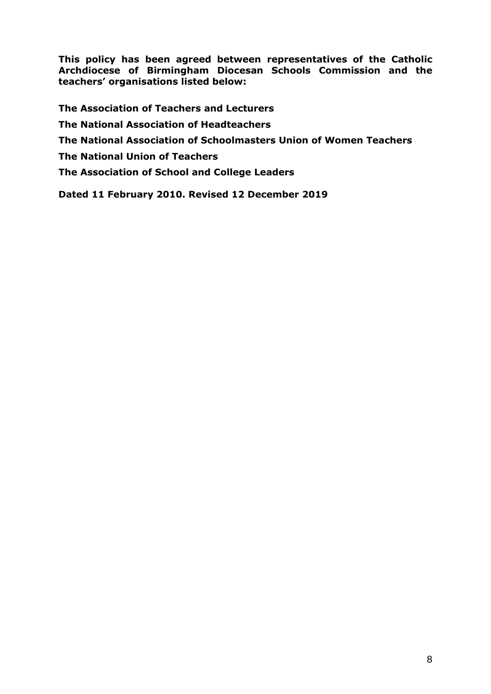**This policy has been agreed between representatives of the Catholic Archdiocese of Birmingham Diocesan Schools Commission and the teachers' organisations listed below:**

**The Association of Teachers and Lecturers The National Association of Headteachers The National Association of Schoolmasters Union of Women Teachers The National Union of Teachers The Association of School and College Leaders**

**Dated 11 February 2010. Revised 12 December 2019**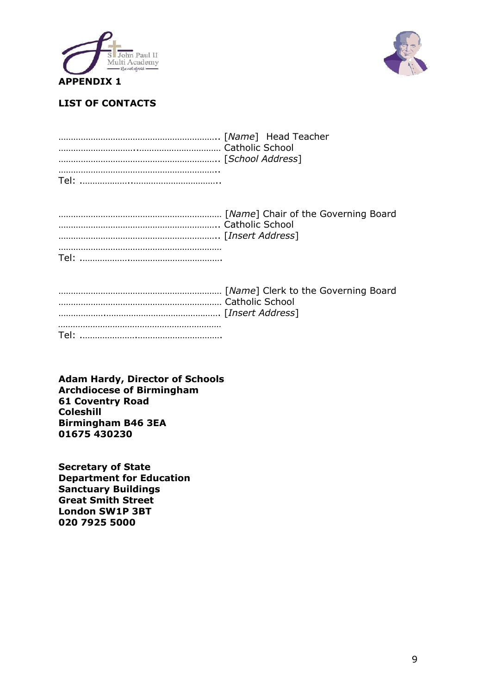



#### **LIST OF CONTACTS**

**Adam Hardy, Director of Schools Archdiocese of Birmingham 61 Coventry Road Coleshill Birmingham B46 3EA 01675 430230**

**Secretary of State Department for Education Sanctuary Buildings Great Smith Street London SW1P 3BT 020 7925 5000**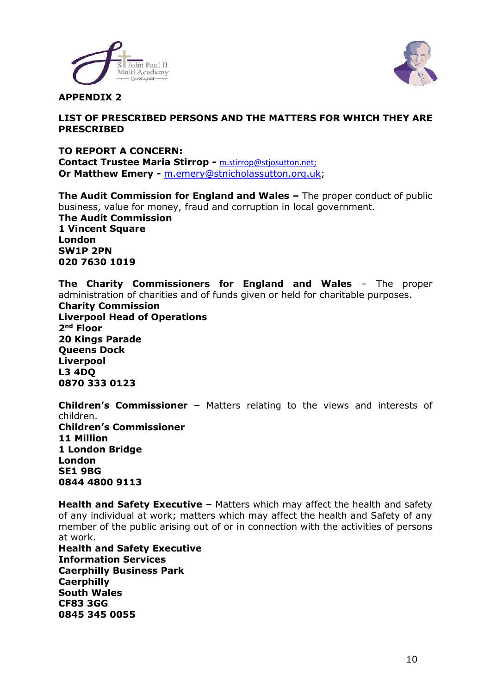



#### **APPENDIX 2**

#### **LIST OF PRESCRIBED PERSONS AND THE MATTERS FOR WHICH THEY ARE PRESCRIBED**

#### **TO REPORT A CONCERN: Contact Trustee Maria Stirrop -** [m.stirrop@stjosutton.net;](mailto:m.stirrop@stjosutton.net) **Or Matthew Emery -** [m.emery@stnicholassutton.org.uk;](mailto:m.emery@stnicholassutton.org.uk)

**The Audit Commission for England and Wales –** The proper conduct of public business, value for money, fraud and corruption in local government. **The Audit Commission 1 Vincent Square London SW1P 2PN 020 7630 1019**

**The Charity Commissioners for England and Wales** – The proper administration of charities and of funds given or held for charitable purposes.

**Charity Commission Liverpool Head of Operations 2 nd Floor 20 Kings Parade Queens Dock Liverpool L3 4DQ 0870 333 0123**

**Children's Commissioner –** Matters relating to the views and interests of children. **Children's Commissioner 11 Million 1 London Bridge London SE1 9BG 0844 4800 9113**

**Health and Safety Executive –** Matters which may affect the health and safety of any individual at work; matters which may affect the health and Safety of any member of the public arising out of or in connection with the activities of persons at work.

**Health and Safety Executive Information Services Caerphilly Business Park Caerphilly South Wales CF83 3GG 0845 345 0055**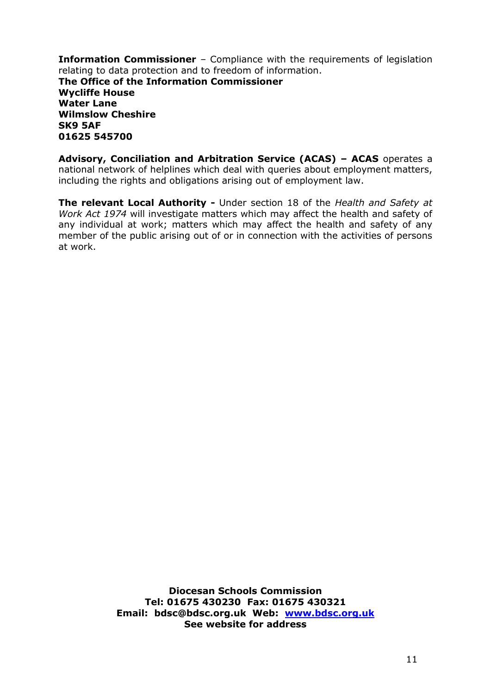**Information Commissioner** – Compliance with the requirements of legislation relating to data protection and to freedom of information. **The Office of the Information Commissioner Wycliffe House Water Lane Wilmslow Cheshire SK9 5AF 01625 545700**

**Advisory, Conciliation and Arbitration Service (ACAS) – ACAS** operates a national network of helplines which deal with queries about employment matters, including the rights and obligations arising out of employment law.

**The relevant Local Authority -** Under section 18 of the *Health and Safety at Work Act 1974* will investigate matters which may affect the health and safety of any individual at work; matters which may affect the health and safety of any member of the public arising out of or in connection with the activities of persons at work.

> **Diocesan Schools Commission Tel: 01675 430230 Fax: 01675 430321 Email: bdsc@bdsc.org.uk Web: [www.bdsc.org.uk](http://www.bdsc.org.uk/) See website for address**